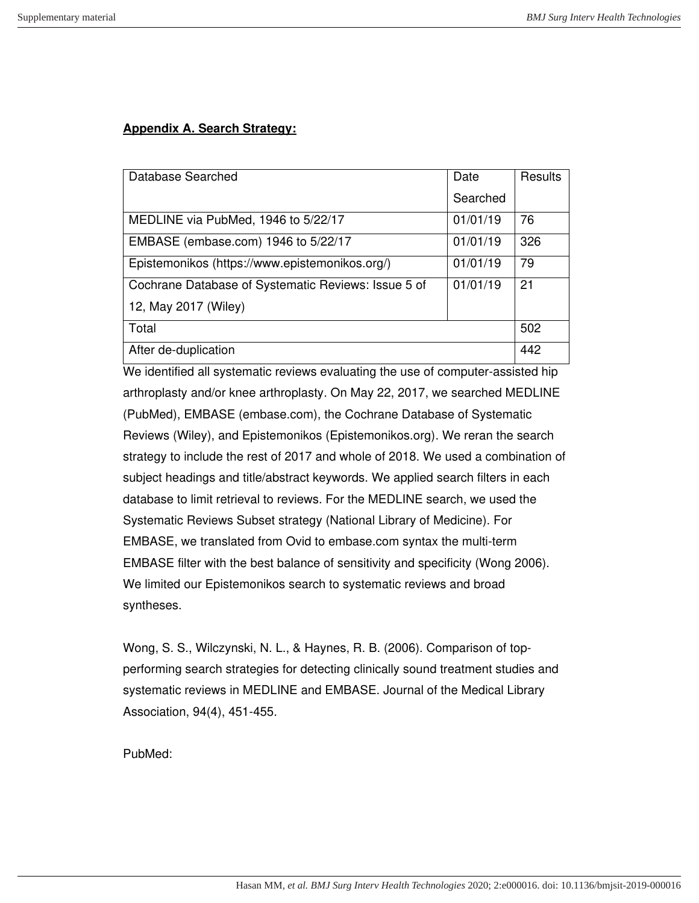## **Appendix A. Search Strategy:**

| Database Searched                                   | Date     | Results |
|-----------------------------------------------------|----------|---------|
|                                                     | Searched |         |
| MEDLINE via PubMed, 1946 to 5/22/17                 | 01/01/19 | 76      |
| EMBASE (embase.com) 1946 to 5/22/17                 | 01/01/19 | 326     |
| Epistemonikos (https://www.epistemonikos.org/)      | 01/01/19 | 79      |
| Cochrane Database of Systematic Reviews: Issue 5 of | 01/01/19 | 21      |
| 12, May 2017 (Wiley)                                |          |         |
| Total                                               |          | 502     |
| After de-duplication                                |          | 442     |

We identified all systematic reviews evaluating the use of computer-assisted hip arthroplasty and/or knee arthroplasty. On May 22, 2017, we searched MEDLINE (PubMed), EMBASE (embase.com), the Cochrane Database of Systematic Reviews (Wiley), and Epistemonikos (Epistemonikos.org). We reran the search strategy to include the rest of 2017 and whole of 2018. We used a combination of subject headings and title/abstract keywords. We applied search filters in each database to limit retrieval to reviews. For the MEDLINE search, we used the Systematic Reviews Subset strategy (National Library of Medicine). For EMBASE, we translated from Ovid to embase.com syntax the multi-term EMBASE filter with the best balance of sensitivity and specificity (Wong 2006). We limited our Epistemonikos search to systematic reviews and broad syntheses.

Wong, S. S., Wilczynski, N. L., & Haynes, R. B. (2006). Comparison of topperforming search strategies for detecting clinically sound treatment studies and systematic reviews in MEDLINE and EMBASE. Journal of the Medical Library Association, 94(4), 451-455.

PubMed: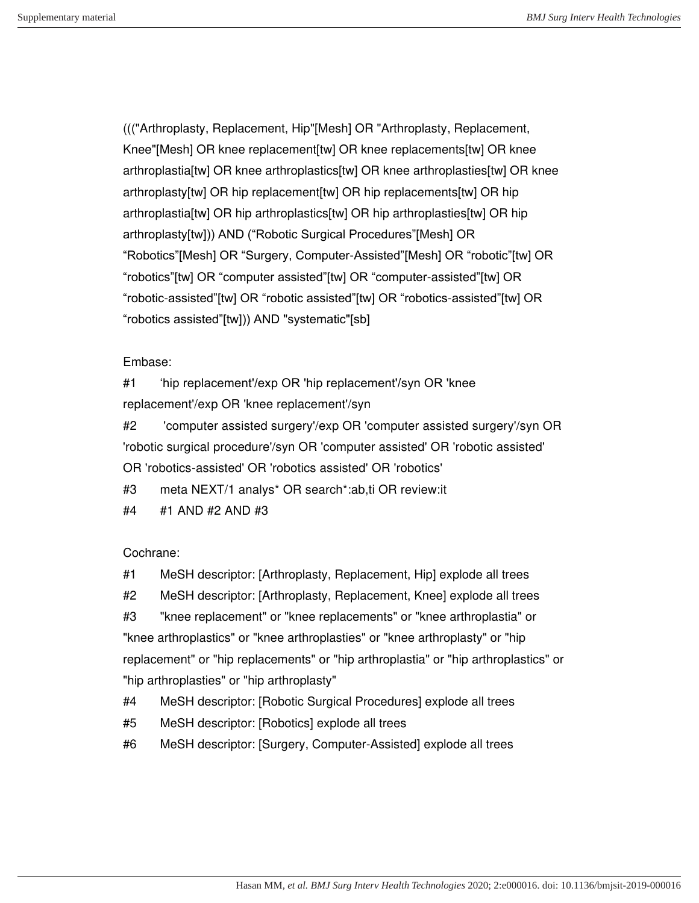((("Arthroplasty, Replacement, Hip"[Mesh] OR "Arthroplasty, Replacement, Knee"[Mesh] OR knee replacement[tw] OR knee replacements[tw] OR knee arthroplastia[tw] OR knee arthroplastics[tw] OR knee arthroplasties[tw] OR knee arthroplasty[tw] OR hip replacement[tw] OR hip replacements[tw] OR hip arthroplastia[tw] OR hip arthroplastics[tw] OR hip arthroplasties[tw] OR hip arthroplasty[tw])) AND ("Robotic Surgical Procedures"[Mesh] OR "Robotics"[Mesh] OR "Surgery, Computer-Assisted"[Mesh] OR "robotic"[tw] OR "robotics"[tw] OR "computer assisted"[tw] OR "computer-assisted"[tw] OR "robotic-assisted"[tw] OR "robotic assisted"[tw] OR "robotics-assisted"[tw] OR "robotics assisted"[tw])) AND "systematic"[sb]

## Embase:

#1 'hip replacement'/exp OR 'hip replacement'/syn OR 'knee replacement'/exp OR 'knee replacement'/syn

#2 'computer assisted surgery'/exp OR 'computer assisted surgery'/syn OR 'robotic surgical procedure'/syn OR 'computer assisted' OR 'robotic assisted' OR 'robotics-assisted' OR 'robotics assisted' OR 'robotics'

- #3 meta NEXT/1 analys\* OR search\*:ab,ti OR review:it
- #4 #1 AND #2 AND #3

## Cochrane:

- #1 MeSH descriptor: [Arthroplasty, Replacement, Hip] explode all trees
- #2 MeSH descriptor: [Arthroplasty, Replacement, Knee] explode all trees

#3 "knee replacement" or "knee replacements" or "knee arthroplastia" or "knee arthroplastics" or "knee arthroplasties" or "knee arthroplasty" or "hip replacement" or "hip replacements" or "hip arthroplastia" or "hip arthroplastics" or "hip arthroplasties" or "hip arthroplasty"

- #4 MeSH descriptor: [Robotic Surgical Procedures] explode all trees
- #5 MeSH descriptor: [Robotics] explode all trees
- #6 MeSH descriptor: [Surgery, Computer-Assisted] explode all trees